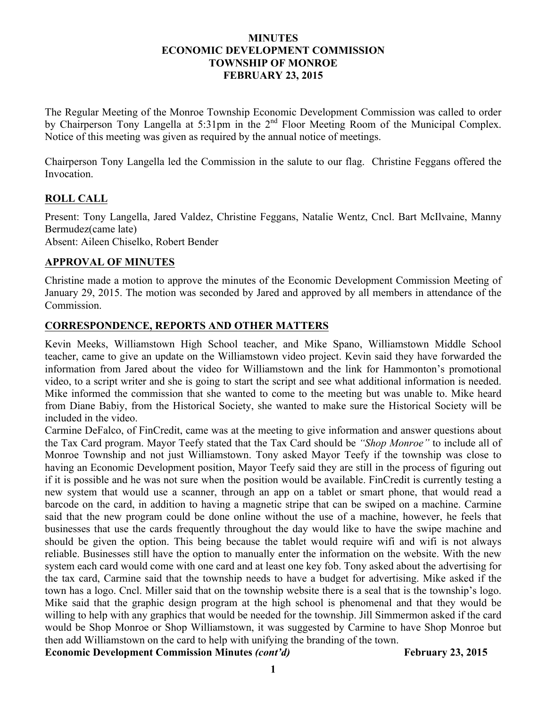## **MINUTES ECONOMIC DEVELOPMENT COMMISSION TOWNSHIP OF MONROE FEBRUARY 23, 2015**

The Regular Meeting of the Monroe Township Economic Development Commission was called to order by Chairperson Tony Langella at 5:31pm in the 2<sup>nd</sup> Floor Meeting Room of the Municipal Complex. Notice of this meeting was given as required by the annual notice of meetings.

Chairperson Tony Langella led the Commission in the salute to our flag. Christine Feggans offered the Invocation.

# **ROLL CALL**

Present: Tony Langella, Jared Valdez, Christine Feggans, Natalie Wentz, Cncl. Bart McIlvaine, Manny Bermudez(came late) Absent: Aileen Chiselko, Robert Bender

## **APPROVAL OF MINUTES**

Christine made a motion to approve the minutes of the Economic Development Commission Meeting of January 29, 2015. The motion was seconded by Jared and approved by all members in attendance of the Commission.

## **CORRESPONDENCE, REPORTS AND OTHER MATTERS**

Kevin Meeks, Williamstown High School teacher, and Mike Spano, Williamstown Middle School teacher, came to give an update on the Williamstown video project. Kevin said they have forwarded the information from Jared about the video for Williamstown and the link for Hammonton's promotional video, to a script writer and she is going to start the script and see what additional information is needed. Mike informed the commission that she wanted to come to the meeting but was unable to. Mike heard from Diane Babiy, from the Historical Society, she wanted to make sure the Historical Society will be included in the video.

Carmine DeFalco, of FinCredit, came was at the meeting to give information and answer questions about the Tax Card program. Mayor Teefy stated that the Tax Card should be *"Shop Monroe"* to include all of Monroe Township and not just Williamstown. Tony asked Mayor Teefy if the township was close to having an Economic Development position, Mayor Teefy said they are still in the process of figuring out if it is possible and he was not sure when the position would be available. FinCredit is currently testing a new system that would use a scanner, through an app on a tablet or smart phone, that would read a barcode on the card, in addition to having a magnetic stripe that can be swiped on a machine. Carmine said that the new program could be done online without the use of a machine, however, he feels that businesses that use the cards frequently throughout the day would like to have the swipe machine and should be given the option. This being because the tablet would require wifi and wifi is not always reliable. Businesses still have the option to manually enter the information on the website. With the new system each card would come with one card and at least one key fob. Tony asked about the advertising for the tax card, Carmine said that the township needs to have a budget for advertising. Mike asked if the town has a logo. Cncl. Miller said that on the township website there is a seal that is the township's logo. Mike said that the graphic design program at the high school is phenomenal and that they would be willing to help with any graphics that would be needed for the township. Jill Simmermon asked if the card would be Shop Monroe or Shop Williamstown, it was suggested by Carmine to have Shop Monroe but then add Williamstown on the card to help with unifying the branding of the town.

Economic Development Commission Minutes *(cont'd)* February 23, 2015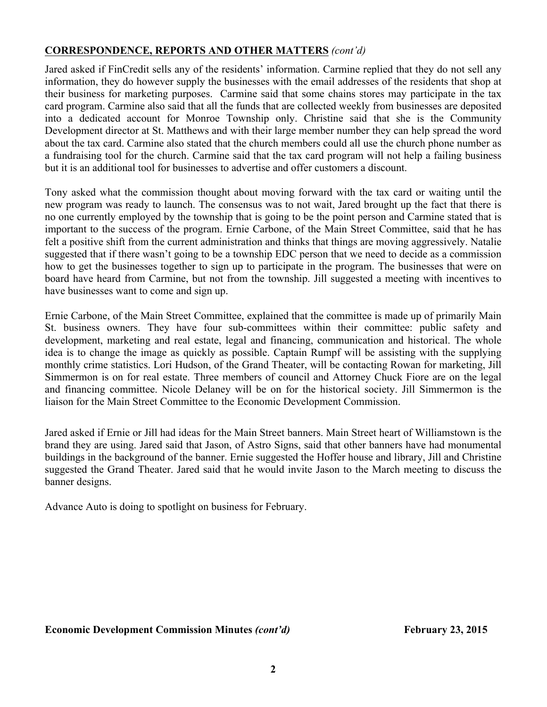# **CORRESPONDENCE, REPORTS AND OTHER MATTERS** *(cont'd)*

Jared asked if FinCredit sells any of the residents' information. Carmine replied that they do not sell any information, they do however supply the businesses with the email addresses of the residents that shop at their business for marketing purposes. Carmine said that some chains stores may participate in the tax card program. Carmine also said that all the funds that are collected weekly from businesses are deposited into a dedicated account for Monroe Township only. Christine said that she is the Community Development director at St. Matthews and with their large member number they can help spread the word about the tax card. Carmine also stated that the church members could all use the church phone number as a fundraising tool for the church. Carmine said that the tax card program will not help a failing business but it is an additional tool for businesses to advertise and offer customers a discount.

Tony asked what the commission thought about moving forward with the tax card or waiting until the new program was ready to launch. The consensus was to not wait, Jared brought up the fact that there is no one currently employed by the township that is going to be the point person and Carmine stated that is important to the success of the program. Ernie Carbone, of the Main Street Committee, said that he has felt a positive shift from the current administration and thinks that things are moving aggressively. Natalie suggested that if there wasn't going to be a township EDC person that we need to decide as a commission how to get the businesses together to sign up to participate in the program. The businesses that were on board have heard from Carmine, but not from the township. Jill suggested a meeting with incentives to have businesses want to come and sign up.

Ernie Carbone, of the Main Street Committee, explained that the committee is made up of primarily Main St. business owners. They have four sub-committees within their committee: public safety and development, marketing and real estate, legal and financing, communication and historical. The whole idea is to change the image as quickly as possible. Captain Rumpf will be assisting with the supplying monthly crime statistics. Lori Hudson, of the Grand Theater, will be contacting Rowan for marketing, Jill Simmermon is on for real estate. Three members of council and Attorney Chuck Fiore are on the legal and financing committee. Nicole Delaney will be on for the historical society. Jill Simmermon is the liaison for the Main Street Committee to the Economic Development Commission.

Jared asked if Ernie or Jill had ideas for the Main Street banners. Main Street heart of Williamstown is the brand they are using. Jared said that Jason, of Astro Signs, said that other banners have had monumental buildings in the background of the banner. Ernie suggested the Hoffer house and library, Jill and Christine suggested the Grand Theater. Jared said that he would invite Jason to the March meeting to discuss the banner designs.

Advance Auto is doing to spotlight on business for February.

#### Economic Development Commission Minutes *(cont'd)* February 23, 2015